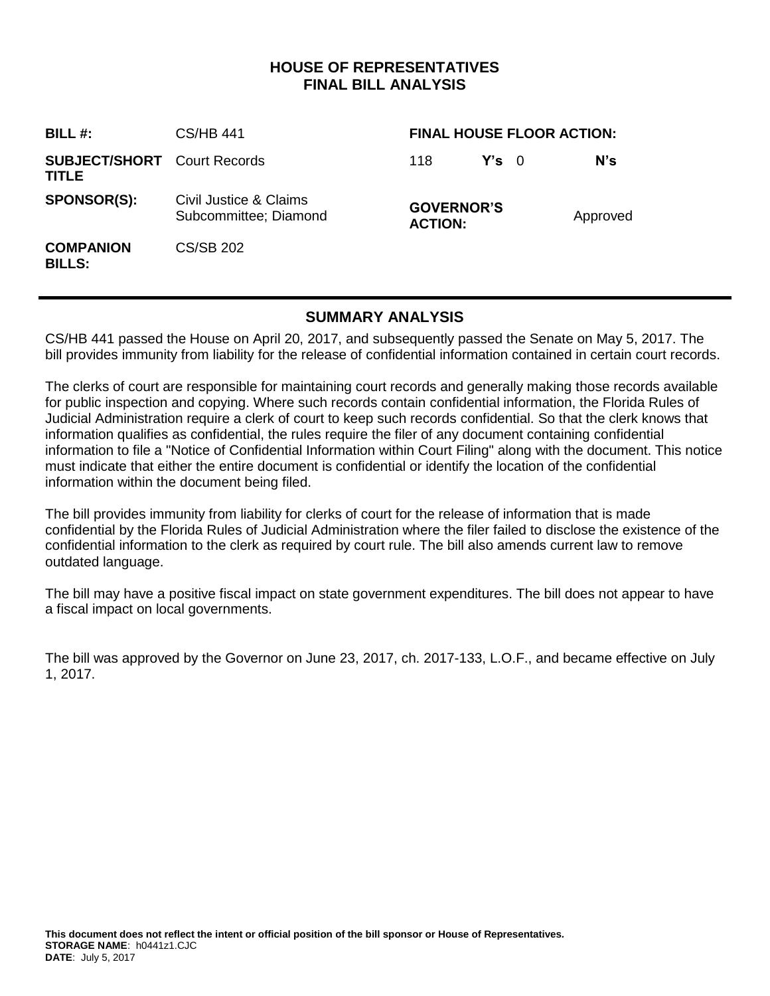## **HOUSE OF REPRESENTATIVES FINAL BILL ANALYSIS**

| <b>BILL #:</b>                              | <b>CS/HB 441</b>                                | <b>FINAL HOUSE FLOOR ACTION:</b>    |               |  |          |
|---------------------------------------------|-------------------------------------------------|-------------------------------------|---------------|--|----------|
| <b>SUBJECT/SHORT</b> Court Records<br>TITLE |                                                 | 118                                 | $Y's \quad 0$ |  | $N$ 's   |
| <b>SPONSOR(S):</b>                          | Civil Justice & Claims<br>Subcommittee; Diamond | <b>GOVERNOR'S</b><br><b>ACTION:</b> |               |  | Approved |
| <b>COMPANION</b><br><b>BILLS:</b>           | CS/SB 202                                       |                                     |               |  |          |

## **SUMMARY ANALYSIS**

CS/HB 441 passed the House on April 20, 2017, and subsequently passed the Senate on May 5, 2017. The bill provides immunity from liability for the release of confidential information contained in certain court records.

The clerks of court are responsible for maintaining court records and generally making those records available for public inspection and copying. Where such records contain confidential information, the Florida Rules of Judicial Administration require a clerk of court to keep such records confidential. So that the clerk knows that information qualifies as confidential, the rules require the filer of any document containing confidential information to file a "Notice of Confidential Information within Court Filing" along with the document. This notice must indicate that either the entire document is confidential or identify the location of the confidential information within the document being filed.

The bill provides immunity from liability for clerks of court for the release of information that is made confidential by the Florida Rules of Judicial Administration where the filer failed to disclose the existence of the confidential information to the clerk as required by court rule. The bill also amends current law to remove outdated language.

The bill may have a positive fiscal impact on state government expenditures. The bill does not appear to have a fiscal impact on local governments.

The bill was approved by the Governor on June 23, 2017, ch. 2017-133, L.O.F., and became effective on July 1, 2017.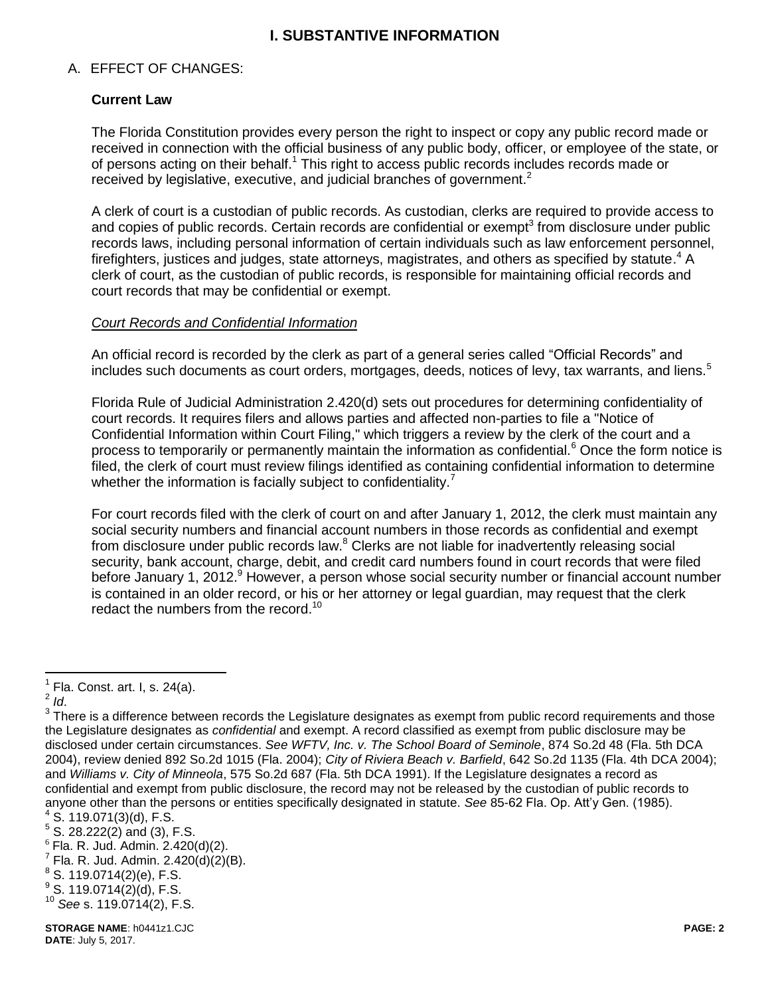## **I. SUBSTANTIVE INFORMATION**

#### A. EFFECT OF CHANGES:

### **Current Law**

The Florida Constitution provides every person the right to inspect or copy any public record made or received in connection with the official business of any public body, officer, or employee of the state, or of persons acting on their behalf.<sup>1</sup> This right to access public records includes records made or received by legislative, executive, and judicial branches of government.<sup>2</sup>

A clerk of court is a custodian of public records. As custodian, clerks are required to provide access to and copies of public records. Certain records are confidential or exempt<sup>3</sup> from disclosure under public records laws, including personal information of certain individuals such as law enforcement personnel, firefighters, justices and judges, state attorneys, magistrates, and others as specified by statute.<sup>4</sup> A clerk of court, as the custodian of public records, is responsible for maintaining official records and court records that may be confidential or exempt.

#### *Court Records and Confidential Information*

An official record is recorded by the clerk as part of a general series called "Official Records" and includes such documents as court orders, mortgages, deeds, notices of levy, tax warrants, and liens.<sup>5</sup>

Florida Rule of Judicial Administration 2.420(d) sets out procedures for determining confidentiality of court records. It requires filers and allows parties and affected non-parties to file a "Notice of Confidential Information within Court Filing," which triggers a review by the clerk of the court and a process to temporarily or permanently maintain the information as confidential.<sup>6</sup> Once the form notice is filed, the clerk of court must review filings identified as containing confidential information to determine whether the information is facially subject to confidentiality.<sup>7</sup>

For court records filed with the clerk of court on and after January 1, 2012, the clerk must maintain any social security numbers and financial account numbers in those records as confidential and exempt from disclosure under public records law.<sup>8</sup> Clerks are not liable for inadvertently releasing social security, bank account, charge, debit, and credit card numbers found in court records that were filed before January 1, 2012.<sup>9</sup> However, a person whose social security number or financial account number is contained in an older record, or his or her attorney or legal guardian, may request that the clerk redact the numbers from the record.<sup>10</sup>

 1 Fla. Const. art. I, s. 24(a).

<sup>2</sup> *Id*.

 $3$  There is a difference between records the Legislature designates as exempt from public record requirements and those the Legislature designates as *confidential* and exempt. A record classified as exempt from public disclosure may be disclosed under certain circumstances. *See WFTV, Inc. v. The School Board of Seminole*, 874 So.2d 48 (Fla. 5th DCA 2004), review denied 892 So.2d 1015 (Fla. 2004); *City of Riviera Beach v. Barfield*, 642 So.2d 1135 (Fla. 4th DCA 2004); and *Williams v. City of Minneola*, 575 So.2d 687 (Fla. 5th DCA 1991). If the Legislature designates a record as confidential and exempt from public disclosure, the record may not be released by the custodian of public records to anyone other than the persons or entities specifically designated in statute. *See* 85-62 Fla. Op. Att'y Gen. (1985).  $4$  S. 119.071(3)(d), F.S.

<sup>5</sup> S. 28.222(2) and (3), F.S.

 $6$  Fla. R. Jud. Admin. 2.420(d)(2).

 $7$  Fla. R. Jud. Admin. 2.420(d)(2)(B).

 $^8$  S. 119.0714(2)(e), F.S.

 $^9$  S. 119.0714(2)(d), F.S.

<sup>10</sup> *See* s. 119.0714(2), F.S.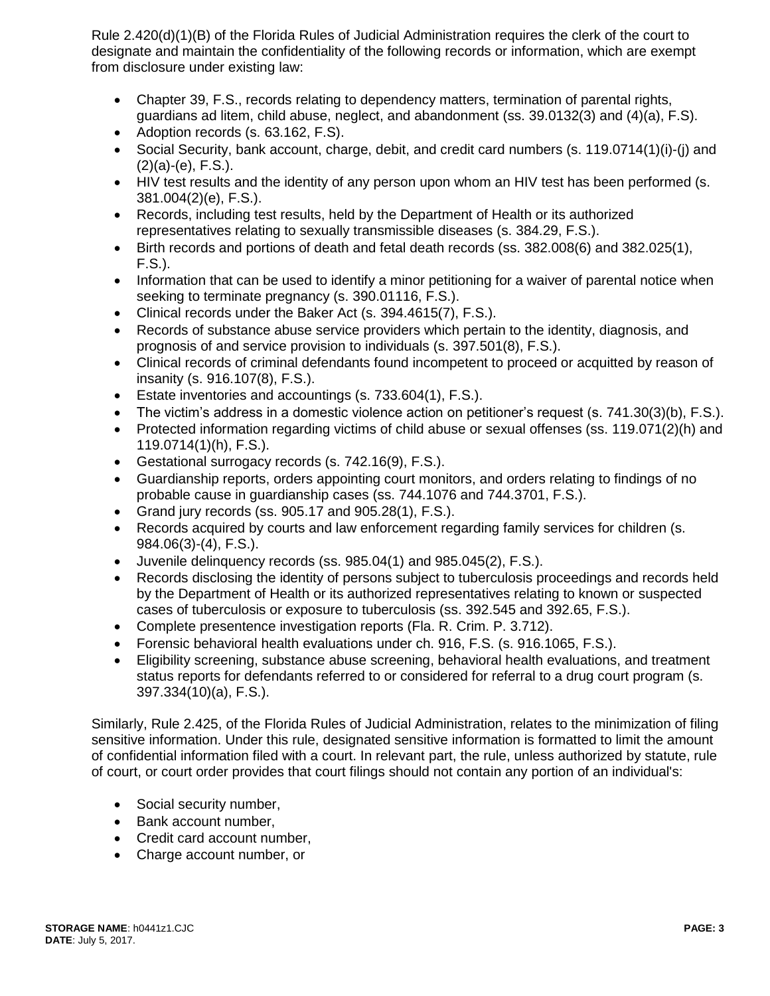Rule 2.420(d)(1)(B) of the Florida Rules of Judicial Administration requires the clerk of the court to designate and maintain the confidentiality of the following records or information, which are exempt from disclosure under existing law:

- Chapter 39, F.S., records relating to dependency matters, termination of parental rights, guardians ad litem, child abuse, neglect, and abandonment (ss. 39.0132(3) and (4)(a), F.S).
- Adoption records (s. 63.162, F.S).
- Social Security, bank account, charge, debit, and credit card numbers (s. 119.0714(1)(i)-(j) and  $(2)(a)-(e)$ , F.S.).
- HIV test results and the identity of any person upon whom an HIV test has been performed (s. 381.004(2)(e), F.S.).
- Records, including test results, held by the Department of Health or its authorized representatives relating to sexually transmissible diseases (s. 384.29, F.S.).
- Birth records and portions of death and fetal death records (ss. 382.008(6) and 382.025(1), F.S.).
- Information that can be used to identify a minor petitioning for a waiver of parental notice when seeking to terminate pregnancy (s. 390.01116, F.S.).
- Clinical records under the Baker Act (s. 394.4615(7), F.S.).
- Records of substance abuse service providers which pertain to the identity, diagnosis, and prognosis of and service provision to individuals (s. 397.501(8), F.S.).
- Clinical records of criminal defendants found incompetent to proceed or acquitted by reason of insanity (s. 916.107(8), F.S.).
- Estate inventories and accountings (s. 733.604(1), F.S.).
- The victim's address in a domestic violence action on petitioner's request (s. 741.30(3)(b), F.S.).
- Protected information regarding victims of child abuse or sexual offenses (ss. 119.071(2)(h) and 119.0714(1)(h), F.S.).
- Gestational surrogacy records (s. 742.16(9), F.S.).
- Guardianship reports, orders appointing court monitors, and orders relating to findings of no probable cause in guardianship cases (ss. 744.1076 and 744.3701, F.S.).
- Grand jury records (ss.  $905.17$  and  $905.28(1)$ , F.S.).
- Records acquired by courts and law enforcement regarding family services for children (s. 984.06(3)-(4), F.S.).
- Juvenile delinquency records (ss. 985.04(1) and 985.045(2), F.S.).
- Records disclosing the identity of persons subject to tuberculosis proceedings and records held by the Department of Health or its authorized representatives relating to known or suspected cases of tuberculosis or exposure to tuberculosis (ss. 392.545 and 392.65, F.S.).
- Complete presentence investigation reports (Fla. R. Crim. P. 3.712).
- Forensic behavioral health evaluations under ch. 916, F.S. (s. 916.1065, F.S.).
- Eligibility screening, substance abuse screening, behavioral health evaluations, and treatment status reports for defendants referred to or considered for referral to a drug court program (s. 397.334(10)(a), F.S.).

Similarly, Rule 2.425, of the Florida Rules of Judicial Administration, relates to the minimization of filing sensitive information. Under this rule, designated sensitive information is formatted to limit the amount of confidential information filed with a court. In relevant part, the rule, unless authorized by statute, rule of court, or court order provides that court filings should not contain any portion of an individual's:

- Social security number,
- Bank account number,
- Credit card account number,
- Charge account number, or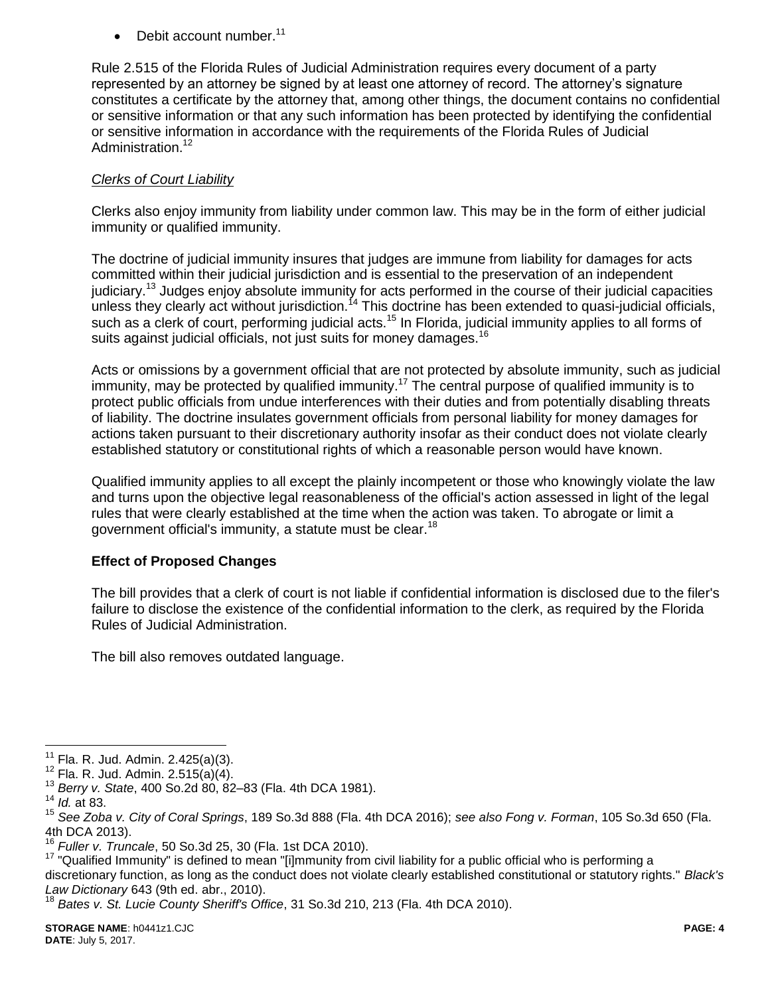Debit account number.<sup>11</sup>

Rule 2.515 of the Florida Rules of Judicial Administration requires every document of a party represented by an attorney be signed by at least one attorney of record. The attorney's signature constitutes a certificate by the attorney that, among other things, the document contains no confidential or sensitive information or that any such information has been protected by identifying the confidential or sensitive information in accordance with the requirements of the Florida Rules of Judicial Administration.<sup>12</sup>

### *Clerks of Court Liability*

Clerks also enjoy immunity from liability under common law. This may be in the form of either judicial immunity or qualified immunity.

The doctrine of judicial immunity insures that judges are immune from liability for damages for acts committed within their judicial jurisdiction and is essential to the preservation of an independent judiciary.<sup>13</sup> Judges enjoy absolute immunity for acts performed in the course of their judicial capacities unless they clearly act without jurisdiction.<sup> $14$ </sup> This doctrine has been extended to quasi-judicial officials, such as a clerk of court, performing judicial acts.<sup>15</sup> In Florida, judicial immunity applies to all forms of suits against judicial officials, not just suits for money damages.<sup>16</sup>

Acts or omissions by a government official that are not protected by absolute immunity, such as judicial immunity, may be protected by qualified immunity.<sup>17</sup> The central purpose of qualified immunity is to protect public officials from undue interferences with their duties and from potentially disabling threats of liability. The doctrine insulates government officials from personal liability for money damages for actions taken pursuant to their discretionary authority insofar as their conduct does not violate clearly established statutory or constitutional rights of which a reasonable person would have known.

Qualified immunity applies to all except the plainly incompetent or those who knowingly violate the law and turns upon the objective legal reasonableness of the official's action assessed in light of the legal rules that were clearly established at the time when the action was taken. To abrogate or limit a government official's immunity, a statute must be clear.<sup>18</sup>

## **Effect of Proposed Changes**

The bill provides that a clerk of court is not liable if confidential information is disclosed due to the filer's failure to disclose the existence of the confidential information to the clerk, as required by the Florida Rules of Judicial Administration.

The bill also removes outdated language.

 $11$ Fla. R. Jud. Admin. 2.425(a)(3).

 $12$  Fla. R. Jud. Admin. 2.515(a)(4).

<sup>13</sup> *Berry v. State*, 400 So.2d 80, 82–83 (Fla. 4th DCA 1981).

<sup>14</sup> *Id.* at 83.

<sup>15</sup> *See Zoba v. City of Coral Springs*, 189 So.3d 888 (Fla. 4th DCA 2016); *see also Fong v. Forman*, 105 So.3d 650 (Fla. 4th DCA 2013).

<sup>16</sup> *Fuller v. Truncale*, 50 So.3d 25, 30 (Fla. 1st DCA 2010).

<sup>&</sup>lt;sup>17</sup> "Qualified Immunity" is defined to mean "[i]mmunity from civil liability for a public official who is performing a

discretionary function, as long as the conduct does not violate clearly established constitutional or statutory rights." *Black's Law Dictionary* 643 (9th ed. abr., 2010).

<sup>18</sup> *Bates v. St. Lucie County Sheriff's Office*, 31 So.3d 210, 213 (Fla. 4th DCA 2010).